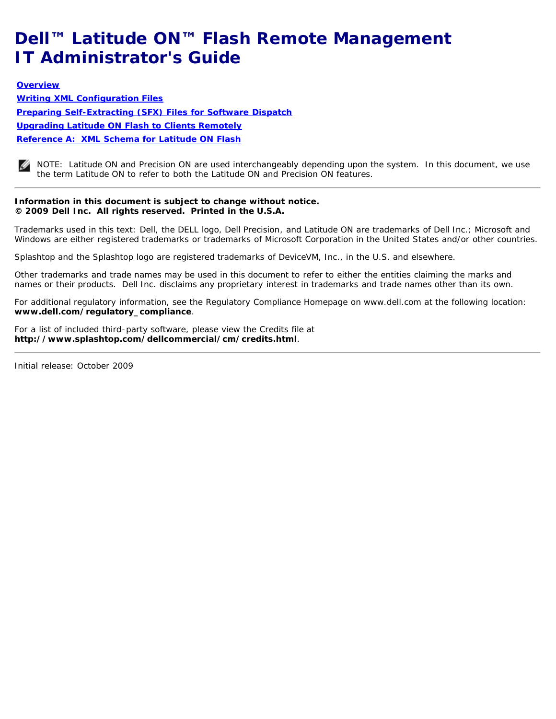## <span id="page-0-0"></span>**Dell™ Latitude ON™ Flash Remote Management IT Administrator's Guide**

**[Overview](#page-1-0) [Writing XML Configuration Files](#page-2-0) [Preparing Self-Extracting \(SFX\) Files for Software Dispatch](#page-5-0) [Upgrading Latitude ON Flash to Clients Remotely](#page-6-0) [Reference A: XML Schema for Latitude ON Flash](#page-7-0)**

NOTE: Latitude ON and Precision ON are used interchangeably depending upon the system. In this document, we use the term *Latitude ON* to refer to both the *Latitude ON* and *Precision ON* features.

#### **Information in this document is subject to change without notice. © 2009 Dell Inc. All rights reserved. Printed in the U.S.A.**

Trademarks used in this text: *Dell*, the *DELL* logo, *Dell Precision*, and *Latitude ON* are trademarks of Dell Inc.; *Microsoft* and *Windows* are either registered trademarks or trademarks of Microsoft Corporation in the United States and/or other countries.

*Splashtop* and the *Splashtop* logo are registered trademarks of DeviceVM, Inc., in the U.S. and elsewhere.

Other trademarks and trade names may be used in this document to refer to either the entities claiming the marks and names or their products. Dell Inc. disclaims any proprietary interest in trademarks and trade names other than its own.

For additional regulatory information, see the Regulatory Compliance Homepage on www.dell.com at the following location: **www.dell.com/regulatory\_compliance**.

For a list of included third-party software, please view the Credits file at **http://www.splashtop.com/dellcommercial/cm/credits.html**.

*Initial release: October 2009*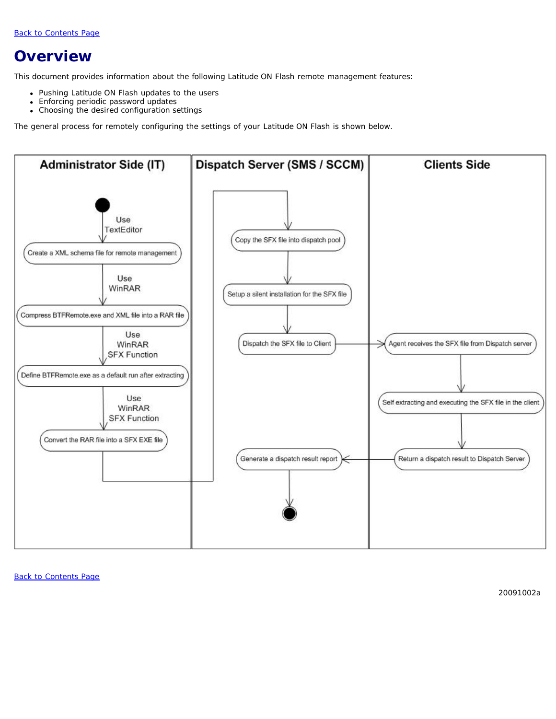### <span id="page-1-0"></span>**Overview**

This document provides information about the following Latitude ON Flash remote management features:

- Pushing Latitude ON Flash updates to the users
- Enforcing periodic password updates
- Choosing the desired configuration settings

The general process for remotely configuring the settings of your Latitude ON Flash is shown below.



[Back to Contents Page](#page-0-0)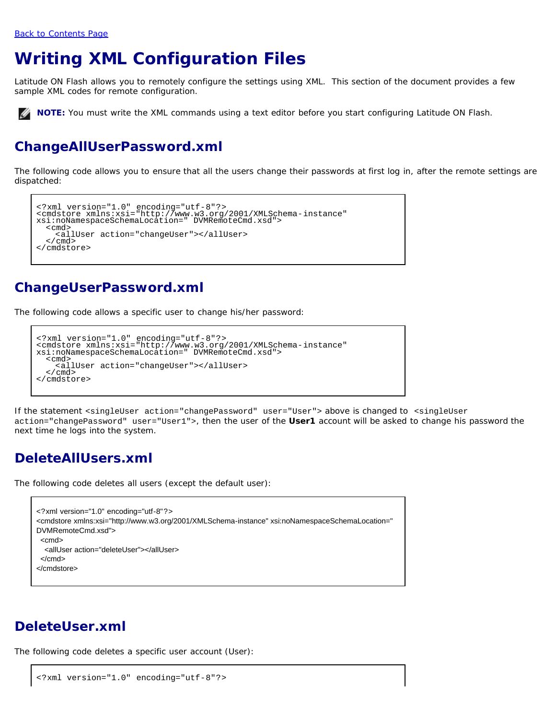## <span id="page-2-0"></span>**Writing XML Configuration Files**

Latitude ON Flash allows you to remotely configure the settings using XML. This section of the document provides a few sample XML codes for remote configuration.

**NOTE:** You must write the XML commands using a text editor before you start configuring Latitude ON Flash.

### **ChangeAllUserPassword.xml**

The following code allows you to ensure that all the users change their passwords at first log in, after the remote settings are dispatched:

```
<?xml version="1.0" encoding="utf-8"?><br><cmdstore xmlns:xsi="http://www.w3.org/2001/XMLSchema-instance"<br>xsi:noNamespaceSchemaLocation=" DVMRemoteCmd.xsd">
   <cmd><br> <allUser action="changeUser"></allUser><br> </cmd>
</cmdstore>
```
### **ChangeUserPassword.xml**

The following code allows a specific user to change his/her password:

```
<?xml version="1.0" encoding="utf-8"?><br><cmdstore xmlns:xsi="http://www.w3.org/2001/XMLSchema-instance"<br>xsi:noNamespaceSchemaLocation=" DVMRemoteCmd.xsd">
   <cmd> -<br><allUser action="changeUser"></allUser><br></cmd>
 </cmd> </cmdstore>
```
If the statement <singleUser action="changePassword" user="User"> above is changed to <singleUser action="changePassword" user="User1">, then the user of the **User1** account will be asked to change his password the next time he logs into the system.

#### **DeleteAllUsers.xml**

The following code deletes all users (except the default user):

<?xml version="1.0" encoding="utf-8"?> <cmdstore xmlns:xsi="http://www.w3.org/2001/XMLSchema-instance" xsi:noNamespaceSchemaLocation=" DVMRemoteCmd.xsd"> <cmd> <allUser action="deleteUser"></allUser> </cmd> </cmdstore>

#### **DeleteUser.xml**

The following code deletes a specific user account (User):

```
<?xml version="1.0" encoding="utf-8"?>
```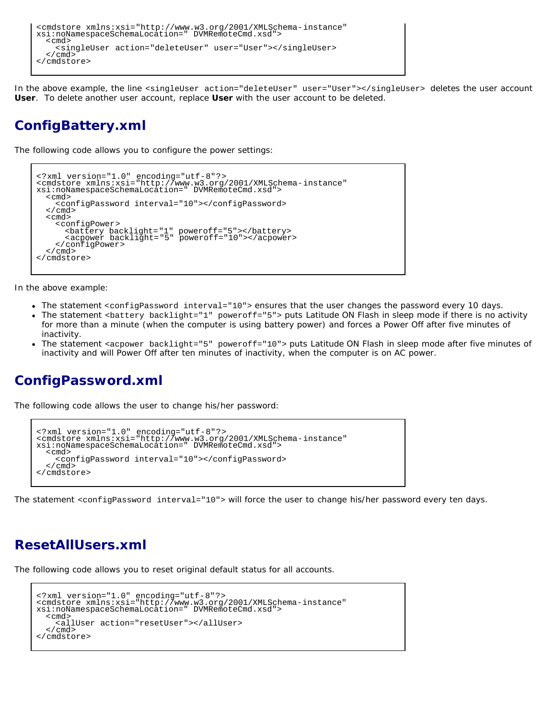```
<cmdstore xmlns:xsi="http://www.w3.org/2001/XMLSchema-instance"
xsi:noNamespaceSchemaLocation=" DVMRemoteCmd.xsd">
  <singleUser action="deleteUser" user="User"></singleUser></cmd>
</cmdstore>
```
In the above example, the line <singleUser action="deleteUser" user="User"></singleUser> deletes the user account **User**. To delete another user account, replace **User** with the user account to be deleted.

### **ConfigBattery.xml**

The following code allows you to configure the power settings:

```
<?xml version="1.0" encoding="utf-8"?><br><cmdstore xmlns:xsi="http://www.w3.org/2001/XMLSchema-instance"<br>xsi:noNamespaceSchemaLocation=" DVMRemoteCmd.xsd">
    <cmd><br><<configPassword interval="10"></configPassword><br></cmd>
%<configPower><br>
<configPower><br>
<br/>
<configPower><br>
</confight="1" poweroff="5"></battery><br>
</configPower><br>
</cmdstore><br>
</cmdstore>
```
In the above example:

- The statement <configPassword interval="10"> ensures that the user changes the password every 10 days.
- The statement <battery backlight="1" poweroff="5"> puts Latitude ON Flash in sleep mode if there is no activity for more than a minute (when the computer is using battery power) and forces a Power Off after five minutes of inactivity.
- The statement <acpower backlight="5" poweroff="10"> puts Latitude ON Flash in sleep mode after five minutes of inactivity and will Power Off after ten minutes of inactivity, when the computer is on AC power.

### **ConfigPassword.xml**

The following code allows the user to change his/her password:

```
<?xml version="1.0" encoding="utf-8"?><br><cmdstore xmlns:xsi="http://www.w3.org/2001/XMLSchema-instance"<br>xsi:noNamespaceSchemaLocation=" DVMRemoteCmd.xsd">
    <cmd> <configPassword interval="10"></configPassword>
</cmdstore>
```
The statement <configPassword interval="10"> will force the user to change his/her password every ten days.

#### **ResetAllUsers.xml**

The following code allows you to reset original default status for all accounts.

```
<?xml version="1.0" encoding="utf-8"?>
<cmdstore xmlns:xsi="http://www.w3.org/2001/XMLSchema-instance"
xsi:noNamespaceSchemaLocation=" DVMRemoteCmd.xsd">
   <cmd><br> <allUser action="resetUser"></allUser><br> </cmd>
</cmdstore>
```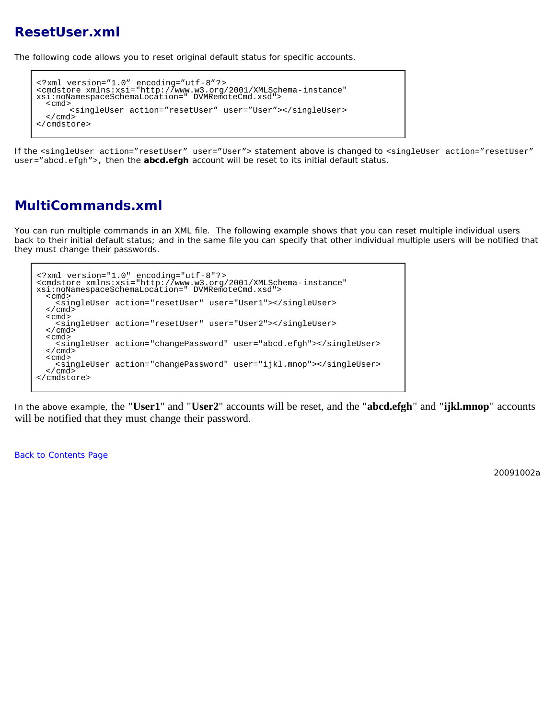#### **ResetUser.xml**

The following code allows you to reset original default status for specific accounts.

```
<?xml version="1.0" encoding="utf-8"?><br><cmdstore xmlns:xsi="http://www.w3.org/2001/XMLSchema-instance"<br>xsi:noNamespaceSchemaLocation=" DVMRemoteCmd.xsd">
<cmd></a></singleUser action="resetUser" user="User"></singleUser></cmd></cmd>
```
If the <singleUser action="resetUser" user="User"> statement above is changed to <singleUser action="resetUser" user="abcd.efgh">, then the **abcd.efgh** account will be reset to its initial default status.

#### **MultiCommands.xml**

You can run multiple commands in an XML file. The following example shows that you can reset multiple individual users back to their initial default status; and in the same file you can specify that other individual multiple users will be notified that they must change their passwords.

```
<?xml version="1.0" encoding="utf-8"?><br><cmdstore xmlns:xsi="http://www.w3.org/2001/XMLSchema-instance"<br>xsi:noNamespaceSchemaLocation=" DVMRemoteCmd.xsd">
  <cmd><br><singleUser action="resetUser" user="User1"></singleUser><br></cmd>
  <cmd><br> <singleUser action="resetUser" user="User2"></singleUser><br> </cmd>
   <cmd><br><<md>>> <br/>singleUser action="changePassword" user="abcd.efgh"></singleUser></cmd>
  <cmd><br> <singleUser action="changePassword" user="ijkl.mnop"></singleUser><br></cmd>
</cmdstore>
```
In the above example, the "**User1**" and "**User2**" accounts will be reset, and the "**abcd.efgh**" and "**ijkl.mnop**" accounts will be notified that they must change their password.

[Back to Contents Page](#page-0-0)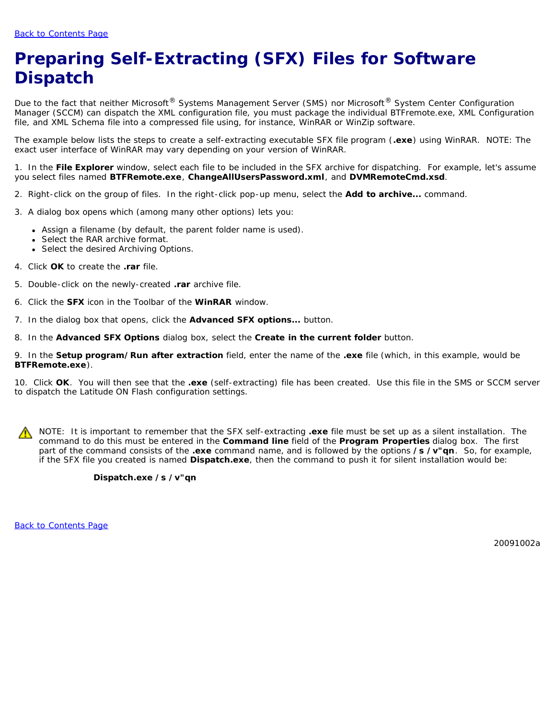# <span id="page-5-0"></span>**Preparing Self-Extracting (SFX) Files for Software Dispatch**

Due to the fact that neither Microsoft® Systems Management Server (SMS) nor Microsoft® System Center Configuration Manager (SCCM) can dispatch the XML configuration file, you must package the individual BTFremote.exe, XML Configuration file, and XML Schema file into a compressed file using, for instance, WinRAR or WinZip software.

The example below lists the steps to create a self-extracting executable SFX file program (**.exe**) using WinRAR. NOTE: The exact user interface of WinRAR may vary depending on your version of WinRAR.

1. In the **File Explorer** window, select each file to be included in the SFX archive for dispatching. For example, let's assume you select files named **BTFRemote.exe**, **ChangeAllUsersPassword.xml**, and **DVMRemoteCmd.xsd**.

- 2. Right-click on the group of files. In the right-click pop-up menu, select the **Add to archive...** command.
- 3. A dialog box opens which (among many other options) lets you:
	- Assign a filename (by default, the parent folder name is used).
	- Select the RAR archive format.
	- Select the desired Archiving Options.
- 4. Click **OK** to create the **.rar** file.
- 5. Double-click on the newly-created **.rar** archive file.
- 6. Click the **SFX** icon in the Toolbar of the **WinRAR** window.
- 7. In the dialog box that opens, click the **Advanced SFX options...** button.
- 8. In the **Advanced SFX Options** dialog box, select the **Create in the current folder** button.

9. In the **Setup program/Run after extraction** field, enter the name of the **.exe** file (which, in this example, would be **BTFRemote.exe**).

10. Click **OK**. You will then see that the **.exe** (self-extracting) file has been created. Use this file in the SMS or SCCM server to dispatch the Latitude ON Flash configuration settings.

NOTE: It is important to remember that the SFX self-extracting **.exe** file must be set up as a *silent installation*. The command to do this must be entered in the **Command line** field of the **Program Properties** dialog box. The first part of the command consists of the **.exe** command name, and is followed by the options **/s /v"qn**. So, for example, if the SFX file you created is named **Dispatch.exe**, then the command to push it for silent installation would be:

#### **Dispatch.exe /s /v"qn**

[Back to Contents Page](#page-0-0)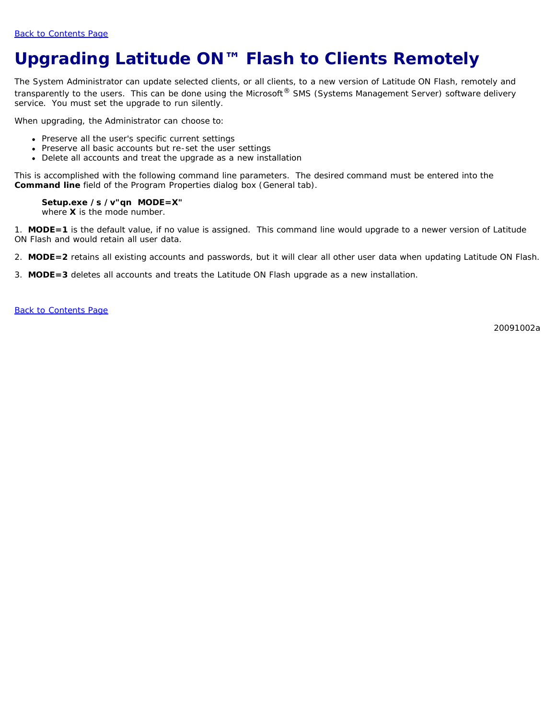# <span id="page-6-0"></span>**Upgrading Latitude ON™ Flash to Clients Remotely**

The System Administrator can update selected clients, or all clients, to a new version of Latitude ON Flash, remotely and transparently to the users. This can be done using the Microsoft<sup>®</sup> SMS (Systems Management Server) software delivery service. You must set the upgrade to run silently.

When upgrading, the Administrator can choose to:

- Preserve all the user's specific current settings
- Preserve all basic accounts but re-set the user settings
- Delete all accounts and treat the upgrade as a new installation

This is accomplished with the following command line parameters. The desired command must be entered into the **Command line** field of the *Program Properties* dialog box (*General* tab).

#### **Setup.exe /s /v"qn MODE=X"**

where **X** is the mode number.

1. **MODE=1** is the default value, if no value is assigned. This command line would upgrade to a newer version of Latitude ON Flash and would retain all user data.

- 2. **MODE=2** retains all existing accounts and passwords, but it will clear all other user data when updating Latitude ON Flash.
- 3. **MODE=3** deletes all accounts and treats the Latitude ON Flash upgrade as a new installation.

[Back to Contents Page](#page-0-0)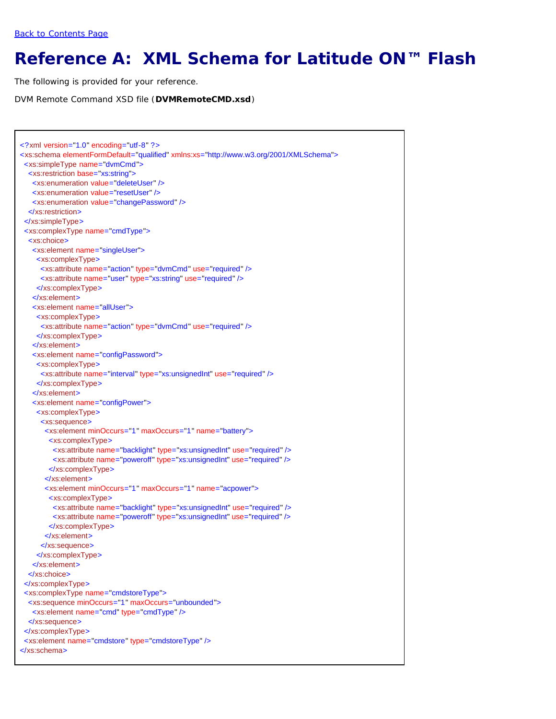## <span id="page-7-0"></span>**Reference A: XML Schema for Latitude ON™ Flash**

The following is provided for your reference.

DVM Remote Command XSD file (**DVMRemoteCMD.xsd**)

```
<?xml version="1.0" encoding="utf-8" ?>
<xs:schema elementFormDefault="qualified" xmlns:xs="http://www.w3.org/2001/XMLSchema">
  <xs:simpleType name="dvmCmd">
   <xs:restriction base="xs:string">
    <xs:enumeration value="deleteUser" />
    <xs:enumeration value="resetUser" />
    <xs:enumeration value="changePassword" />
   </xs:restriction>
  </xs:simpleType>
  <xs:complexType name="cmdType">
   <xs:choice>
    <xs:element name="singleUser">
     <xs:complexType>
      <xs:attribute name="action" type="dvmCmd" use="required" />
      <xs:attribute name="user" type="xs:string" use="required" />
     </xs:complexType>
    </xs:element>
    <xs:element name="allUser">
     <xs:complexType>
      <xs:attribute name="action" type="dvmCmd" use="required" />
     </xs:complexType>
    </xs:element>
    <xs:element name="configPassword">
     <xs:complexType>
      <xs:attribute name="interval" type="xs:unsignedInt" use="required" />
     </xs:complexType>
    </xs:element>
    <xs:element name="configPower">
     <xs:complexType>
      <xs:sequence>
       <xs:element minOccurs="1" maxOccurs="1" name="battery">
         <xs:complexType>
          <xs:attribute name="backlight" type="xs:unsignedInt" use="required" />
          <xs:attribute name="poweroff" type="xs:unsignedInt" use="required" />
         </xs:complexType>
        </xs:element>
        <xs:element minOccurs="1" maxOccurs="1" name="acpower">
         <xs:complexType>
          <xs:attribute name="backlight" type="xs:unsignedInt" use="required" />
          <xs:attribute name="poweroff" type="xs:unsignedInt" use="required" />
         </xs:complexType>
        </xs:element>
       </xs:sequence>
      </xs:complexType>
    </xs:element>
   </xs:choice>
  </xs:complexType>
  <xs:complexType name="cmdstoreType">
   <xs:sequence minOccurs="1" maxOccurs="unbounded">
    <xs:element name="cmd" type="cmdType" />
   </xs:sequence>
  </xs:complexType>
  <xs:element name="cmdstore" type="cmdstoreType" />
</xs:schema>
```